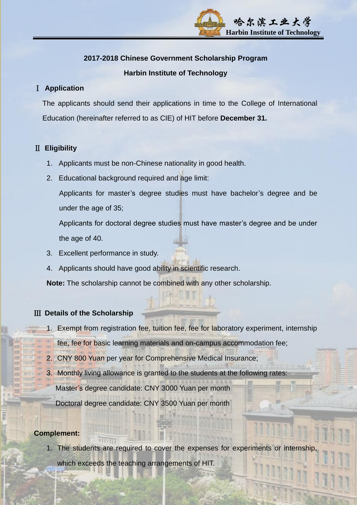# 哈尔滨工业大学  **Harbin Institute of Technology**

#### **2017-2018 Chinese Government Scholarship Program**

#### **Harbin Institute of Technology**

#### Ⅰ **Application**

The applicants should send their applications in time to the College of International Education (hereinafter referred to as CIE) of HIT before **December 31.**

#### Ⅱ **Eligibility**

- 1. Applicants must be non-Chinese nationality in good health.
- 2. Educational background required and age limit:

Applicants for master's degree studies must have bachelor's degree and be under the age of 35;

Applicants for doctoral degree studies must have master's degree and be under the age of 40.

- 3. Excellent performance in study.
- 4. Applicants should have good ability in scientific research.

**Note:** The scholarship cannot be combined with any other scholarship.

#### Ⅲ **Details of the Scholarship**

- 1. Exempt from registration fee, tuition fee, fee for laboratory experiment, internship
- fee, fee for basic learning materials and on-campus accommodation fee;
- 2. CNY 800 Yuan per year for Comprehensive Medical Insurance;
- 3. Monthly living allowance is granted to the students at the following rates:
	- Master's degree candidate: CNY 3000 Yuan per month

Doctoral degree candidate: CNY 3500 Yuan per month

#### **Complement:**

1. The students are required to cover the expenses for experiments or internship

which exceeds the teaching arrangements of HIT.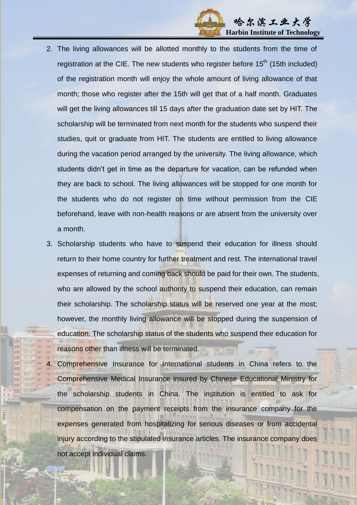

- 2. The living allowances will be allotted monthly to the students from the time of registration at the CIE. The new students who register before 15<sup>th</sup> (15th included) of the registration month will enjoy the whole amount of living allowance of that month; those who register after the 15th will get that of a half month. Graduates will get the living allowances till 15 days after the graduation date set by HIT. The scholarship will be terminated from next month for the students who suspend their studies, quit or graduate from HIT. The students are entitled to living allowance during the vacation period arranged by the university. The living allowance, which students didn't get in time as the departure for vacation, can be refunded when they are back to school. The living allowances will be stopped for one month for the students who do not register on time without permission from the CIE beforehand, leave with non-health reasons or are absent from the university over a month.
- 3. Scholarship students who have to suspend their education for illness should return to their home country for further treatment and rest. The international travel expenses of returning and coming back should be paid for their own. The students, who are allowed by the school authority to suspend their education, can remain their scholarship. The scholarship status will be reserved one year at the most; however, the monthly living allowance will be stopped during the suspension of education. The scholarship status of the students who suspend their education for reasons other than illness will be terminated.
	- 4. Comprehensive Insurance for International students in China refers to the Comprehensive Medical Insurance insured by Chinese Educational Ministry for the scholarship students in China. The institution is entitled to ask for compensation on the payment receipts from the insurance company for the expenses generated from hospitalizing for serious diseases or from accidental injury according to the stipulated insurance articles. The insurance company does not accept individual claims.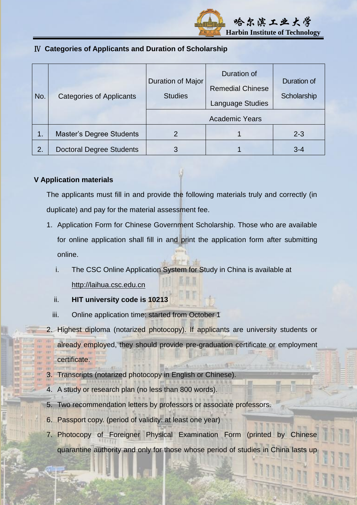

### Ⅳ **Categories of Applicants and Duration of Scholarship**

| No.           | <b>Categories of Applicants</b> | <b>Duration of Major</b><br><b>Studies</b> | Duration of<br><b>Remedial Chinese</b><br><b>Language Studies</b> | Duration of<br>Scholarship |
|---------------|---------------------------------|--------------------------------------------|-------------------------------------------------------------------|----------------------------|
|               |                                 | <b>Academic Years</b>                      |                                                                   |                            |
| $\mathbf 1$ . | <b>Master's Degree Students</b> | 2                                          |                                                                   | $2 - 3$                    |
| 2.            | <b>Doctoral Degree Students</b> | 3                                          |                                                                   | $3 - 4$                    |

#### **V Application materials**

The applicants must fill in and provide the following materials truly and correctly (in duplicate) and pay for the material assessment fee.

- 1. Application Form for Chinese Government Scholarship. Those who are available for online application shall fill in and print the application form after submitting online.
	- i. The CSC Online Application System for Study in China is available at [http://laihua.csc.edu.cn](http://laihua.csc.edu.cn/)
	- ii. **HIT university code is 10213**
	- iii. Online application time: started from October 1
- 2. Highest diploma (notarized photocopy). If applicants are university students or

already employed, they should provide pre-graduation certificate or employment

- certificate.
- **Transcripts (notarized photocopy in English or Chinese).**
- 4. A study or research plan (no less than 800 words).
- 5. Two recommendation letters by professors or associate professors.
- 6. Passport copy. (period of validity: at least one year)
- 7. Photocopy of Foreigner Physical Examination Form (printed by Chinese quarantine authority and only for those whose period of studies in China lasts up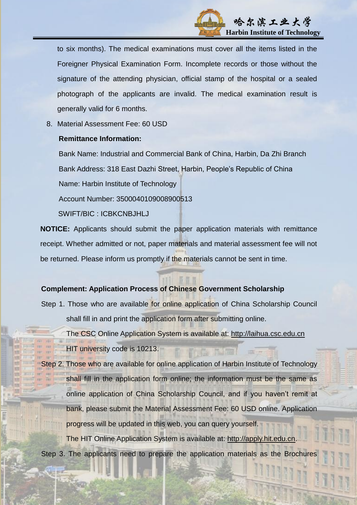

to six months). The medical examinations must cover all the items listed in the Foreigner Physical Examination Form. Incomplete records or those without the signature of the attending physician, official stamp of the hospital or a sealed photograph of the applicants are invalid. The medical examination result is generally valid for 6 months.

8. Material Assessment Fee: 60 USD

#### **Remittance Information:**

Bank Name: Industrial and Commercial Bank of China, Harbin, Da Zhi Branch Bank Address: 318 East Dazhi Street, Harbin, People's Republic of China Name: Harbin Institute of Technology Account Number: 3500040109008900513

SWIFT/BIC : ICBKCNBJHLJ

**NOTICE:** Applicants should submit the paper application materials with remittance receipt. Whether admitted or not, paper materials and material assessment fee will not be returned. Please inform us promptly if the materials cannot be sent in time.

#### **Complement: Application Process of Chinese Government Scholarship**

Step 1. Those who are available for online application of China Scholarship Council shall fill in and print the application form after submitting online.

 The CSC Online Application System is available at: [http://laihua.csc.edu.cn](http://laihua.csc.edu.cn/) HIT university code is 10213.

Step 2. Those who are available for online application of Harbin Institute of Technology shall fill in the application form online; the information must be the same as online application of China Scholarship Council, and if you haven't remit at bank, please submit the Material Assessment Fee: 60 USD online. Application progress will be updated in this web, you can query yourself. The HIT Online Application System is available at: [http://apply.hit.edu.cn.](http://apply.hit.edu.cn/)

Step 3. The applicants need to prepare the application materials as the Brochures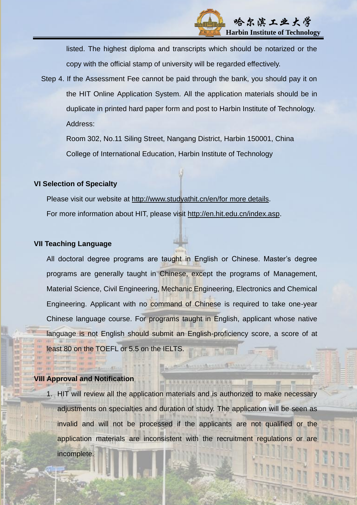

listed. The highest diploma and transcripts which should be notarized or the copy with the official stamp of university will be regarded effectively.

Step 4. If the Assessment Fee cannot be paid through the bank, you should pay it on the HIT Online Application System. All the application materials should be in duplicate in printed hard paper form and post to Harbin Institute of Technology. Address:

Room 302, No.11 Siling Street, Nangang District, Harbin 150001, China College of International Education, Harbin Institute of Technology

#### **VI Selection of Specialty**

Please visit our website at http://www.studyathit.cn/en/for more details. For more information about HIT, please visit [http://en.hit.edu.cn/index.asp.](http://en.hit.edu.cn/index.asp)

#### **VII Teaching Language**

All doctoral degree programs are taught in English or Chinese. Master's degree programs are generally taught in Chinese, except the programs of Management, Material Science, Civil Engineering, Mechanic Engineering, Electronics and Chemical Engineering. Applicant with no command of Chinese is required to take one-year Chinese language course. For programs taught in English, applicant whose native language is not English should submit an English-proficiency score, a score of at least 80 on the TOEFL or 5.5 on the IELTS.

#### **VIII Approval and Notification**

1. HIT will review all the application materials and is authorized to make necessary adjustments on specialties and duration of study. The application will be seen as invalid and will not be processed if the applicants are not qualified or the application materials are inconsistent with the recruitment regulations or are incomplete.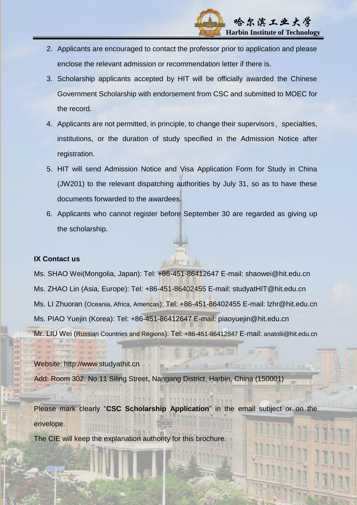

- 2. Applicants are encouraged to contact the professor prior to application and please enclose the relevant admission or recommendation letter if there is.
- 3. Scholarship applicants accepted by HIT will be officially awarded the Chinese Government Scholarship with endorsement from CSC and submitted to MOEC for the record.
- 4. Applicants are not permitted, in principle, to change their supervisors, specialties, institutions, or the duration of study specified in the Admission Notice after registration.
- 5. HIT will send Admission Notice and Visa Application Form for Study in China (JW201) to the relevant dispatching authorities by July 31, so as to have these documents forwarded to the awardees.
- 6. Applicants who cannot register before September 30 are regarded as giving up the scholarship.

#### **IX Contact us**

Ms. SHAO Wei(Mongolia, Japan): Tel: +86-451-86412647 E-mail: [shaowei@hit.edu.cn](mailto:shaowei@hit.edu.cn) Ms. ZHAO Lin (Asia, Europe): Tel: +86-451-86402455 E-mail: [studyatHIT@hit.edu.cn](mailto:studyatHIT@hit.edu.cn) Ms. LI Zhuoran (Oceania, Africa, Americas): Tel: +86-451-86402455 E-mail: [lzhr@hit.edu.cn](mailto:lzhr@hit.edu.cn) Ms. PIAO Yuejin (Korea): Tel: +86-451-86412647 E-mail: [piaoyuejin@hit.edu.cn](mailto:piaoyuejin@hit.edu.cn) Mr. LIU Wei (Russian Countries and Regions): Tel: +86-451-86412847 E-mail: [anatolii@hit.edu.cn](mailto:anatolii@hit.edu.cn)

Website: [http://www.studyathit.cn](http://www.studyathit.cn/en/) Add: Room 302, No.11 Siling Street, Nangang District, Harbin, China (150001)

Please mark clearly "**CSC Scholarship Application**" in the email subject or on the envelope.

The CIE will keep the explanation authority for this brochure.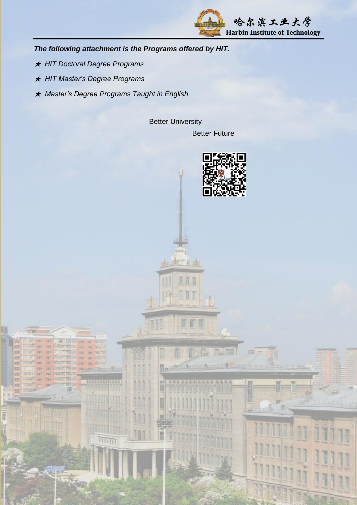

*The following attachment is the Programs offered by HIT.*

- ★ *HIT Doctoral Degree Programs*
- ★ *HIT Master's Degree Programs*
- ★ *Master's Degree Programs Taught in English*

Better University Better Future

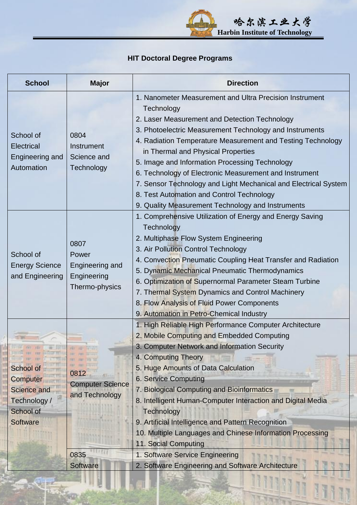**"我们的人,你们的人,你们的人,你们的人,你们的人,你们的人,你们的人,你们 Harbin Institute of Technology Harbin Institute of Technology** 

# **HIT Doctoral Degree Programs**

| <b>School</b><br><b>Major</b><br><b>Direction</b>                                                                                                                                                                                                                                                                                                                                                                                                                                                                                                                                                                                                                                             |  |
|-----------------------------------------------------------------------------------------------------------------------------------------------------------------------------------------------------------------------------------------------------------------------------------------------------------------------------------------------------------------------------------------------------------------------------------------------------------------------------------------------------------------------------------------------------------------------------------------------------------------------------------------------------------------------------------------------|--|
| 1. Nanometer Measurement and Ultra Precision Instrument<br>Technology<br>2. Laser Measurement and Detection Technology<br>3. Photoelectric Measurement Technology and Instruments<br>School of<br>0804<br>4. Radiation Temperature Measurement and Testing Technology<br><b>Electrical</b><br>Instrument<br>in Thermal and Physical Properties<br>Science and<br>Engineering and<br>5. Image and Information Processing Technology<br>Automation<br>Technology<br>6. Technology of Electronic Measurement and Instrument<br>7. Sensor Technology and Light Mechanical and Electrical System<br>8. Test Automation and Control Technology<br>9. Quality Measurement Technology and Instruments |  |
| 1. Comprehensive Utilization of Energy and Energy Saving<br>Technology<br>2. Multiphase Flow System Engineering<br>0807<br>3. Air Pollution Control Technology<br>School of<br>Power<br>4. Convection Pneumatic Coupling Heat Transfer and Radiation<br><b>Energy Science</b><br>Engineering and<br>5. Dynamic Mechanical Pneumatic Thermodynamics<br>and Engineering<br>Engineering<br>6. Optimization of Supernormal Parameter Steam Turbine<br>Thermo-physics<br>7. Thermal System Dynamics and Control Machinery<br>8. Flow Analysis of Fluid Power Components<br>9. Automation in Petro-Chemical Industry                                                                                |  |
| 1. High Reliable High Performance Computer Architecture<br>2. Mobile Computing and Embedded Computing<br>3. Computer Network and Information Security<br>4. Computing Theory<br>5. Huge Amounts of Data Calculation<br>School of<br>0812<br><b>6. Service Computing</b><br><b>Computer</b><br><b>Computer Science</b><br><b>Science and</b><br>7. Biological Computing and Bioinformatics<br>and Technology<br>8. Intelligent Human-Computer Interaction and Digital Media<br>Technology /<br>School of<br>Technology<br>9. Artificial Intelligence and Pattern Recognition<br><b>Software</b><br>10. Multiple Languages and Chinese Information Processing<br>11. Social Computing           |  |
| 0835<br>1. Software Service Engineering<br>2. Software Engineering and Software Architecture<br><b>Software</b>                                                                                                                                                                                                                                                                                                                                                                                                                                                                                                                                                                               |  |

招班招项

日用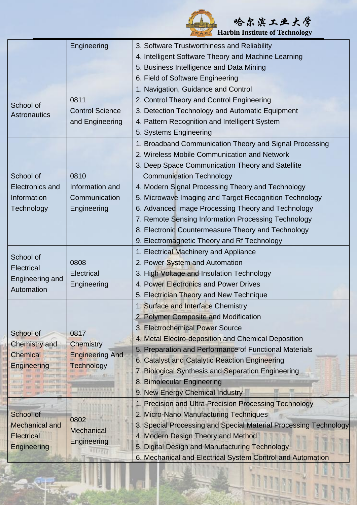**Harbin Institute of Technology Harbin Institute of Technology** 

1

Ī

|                                  | Engineering                                 | 3. Software Trustworthiness and Reliability                      |
|----------------------------------|---------------------------------------------|------------------------------------------------------------------|
|                                  |                                             | 4. Intelligent Software Theory and Machine Learning              |
|                                  |                                             | 5. Business Intelligence and Data Mining                         |
|                                  |                                             | 6. Field of Software Engineering                                 |
|                                  |                                             | 1. Navigation, Guidance and Control                              |
|                                  | 0811                                        | 2. Control Theory and Control Engineering                        |
| School of<br><b>Astronautics</b> | <b>Control Science</b>                      | 3. Detection Technology and Automatic Equipment                  |
|                                  | and Engineering                             | 4. Pattern Recognition and Intelligent System                    |
|                                  |                                             | 5. Systems Engineering                                           |
|                                  |                                             | 1. Broadband Communication Theory and Signal Processing          |
|                                  |                                             | 2. Wireless Mobile Communication and Network                     |
|                                  |                                             | 3. Deep Space Communication Theory and Satellite                 |
| School of                        | 0810                                        | <b>Communication Technology</b>                                  |
| <b>Electronics and</b>           | Information and                             | 4. Modern Signal Processing Theory and Technology                |
| Information                      | Communication                               | 5. Microwave Imaging and Target Recognition Technology           |
| Technology                       | Engineering                                 | 6. Advanced Image Processing Theory and Technology               |
|                                  |                                             | 7. Remote Sensing Information Processing Technology              |
|                                  |                                             | 8. Electronic Countermeasure Theory and Technology               |
|                                  |                                             | 9. Electromagnetic Theory and Rf Technology                      |
| School of                        |                                             | 1. Electrical Machinery and Appliance                            |
|                                  | 0808                                        | 2. Power System and Automation                                   |
| <b>Electrical</b>                | Electrical                                  | 3. High Voltage and Insulation Technology                        |
| Engineering and<br>Automation    | Engineering                                 | 4. Power Electronics and Power Drives                            |
|                                  |                                             | 5. Electrician Theory and New Technique                          |
|                                  |                                             | 1. Surface and Interface Chemistry                               |
|                                  |                                             | 2. Polymer Composite and Modification                            |
| School of                        | 0817                                        | 3. Electrochemical Power Source                                  |
| <b>Chemistry and</b>             |                                             | 4. Metal Electro-deposition and Chemical Deposition              |
| <b>Chemical</b>                  | Chemistry                                   | 5. Preparation and Performance of Functional Materials           |
| <b>Engineering</b>               | <b>Engineering And</b><br><b>Technology</b> | 6. Catalyst and Catalytic Reaction Engineering                   |
|                                  |                                             | 7. Biological Synthesis and Separation Engineering               |
|                                  |                                             | 8. Bimolecular Engineering                                       |
|                                  | <b><i>REEGERSTEERS</i></b>                  | 9. New Energy Chemical Industry                                  |
|                                  |                                             | 1. Precision and Ultra-Precision Processing Technology           |
| School of                        | 0802                                        | 2. Micro-Nano Manufacturing Techniques                           |
| <b>Mechanical and</b>            | Mechanical                                  | 3. Special Processing and Special Material Processing Technology |
| <b>Electrical</b>                | Engineering                                 | 4. Modern Design Theory and Method                               |
| <b>Engineering</b>               |                                             | 5. Digital Design and Manufacturing Technology                   |
|                                  |                                             | 6. Mechanical and Electrical System Control and Automation       |

特性结 Ħ

**"我们的人,你们的人,你们的人,你们的人,你们的人,你们的人,你们的人,你们**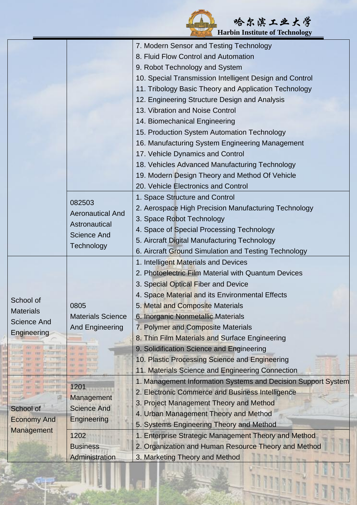|                                                                    |                                                                                                             | 哈尔滨工业大学                                                                                                                                                                                                                                                                                                                                                                                                                                                                                                    |
|--------------------------------------------------------------------|-------------------------------------------------------------------------------------------------------------|------------------------------------------------------------------------------------------------------------------------------------------------------------------------------------------------------------------------------------------------------------------------------------------------------------------------------------------------------------------------------------------------------------------------------------------------------------------------------------------------------------|
|                                                                    |                                                                                                             | <b>Harbin Institute of Technology</b><br>7. Modern Sensor and Testing Technology<br>8. Fluid Flow Control and Automation<br>9. Robot Technology and System<br>10. Special Transmission Intelligent Design and Control<br>11. Tribology Basic Theory and Application Technology<br>12. Engineering Structure Design and Analysis                                                                                                                                                                            |
|                                                                    |                                                                                                             | 13. Vibration and Noise Control<br>14. Biomechanical Engineering<br>15. Production System Automation Technology<br>16. Manufacturing System Engineering Management<br>17. Vehicle Dynamics and Control<br>18. Vehicles Advanced Manufacturing Technology<br>19. Modern Design Theory and Method Of Vehicle<br>20. Vehicle Electronics and Control                                                                                                                                                          |
|                                                                    | 082503<br><b>Aeronautical And</b><br>Astronautical<br><b>Science And</b><br>Technology                      | 1. Space Structure and Control<br>2. Aerospace High Precision Manufacturing Technology<br>3. Space Robot Technology<br>4. Space of Special Processing Technology<br>5. Aircraft Digital Manufacturing Technology<br>6. Aircraft Ground Simulation and Testing Technology                                                                                                                                                                                                                                   |
| School of<br><b>Materials</b><br><b>Science And</b><br>Engineering | 0805<br><b>Materials Science</b><br><b>And Engineering</b><br><b>ALL AND ALLINES</b>                        | 1. Intelligent Materials and Devices<br>2. Photoelectric Film Material with Quantum Devices<br>3. Special Optical Fiber and Device<br>4. Space Material and its Environmental Effects<br>5. Metal and Composite Materials<br>6. Inorganic Nonmetallic Materials<br>7. Polymer and Composite Materials<br>8. Thin Film Materials and Surface Engineering<br>9. Solidification Science and Engineering<br>10. Plastic Processing Science and Engineering<br>11. Materials Science and Engineering Connection |
| School of<br><b>Economy And</b><br><b>Management</b>               | 1201<br>Management<br><b>Science And</b><br><b>Engineering</b><br>1202<br><b>Business</b><br>Administration | 1. Management Information Systems and Decision Support System<br>2. Electronic Commerce and Business Intelligence<br>3. Project Management Theory and Method<br>4. Urban Management Theory and Method<br>5. Systems Engineering Theory and Method<br>1. Enterprise Strategic Management Theory and Method<br>2. Organization and Human Resource Theory and Method<br>3. Marketing Theory and Method                                                                                                        |

Ī

Yи

ă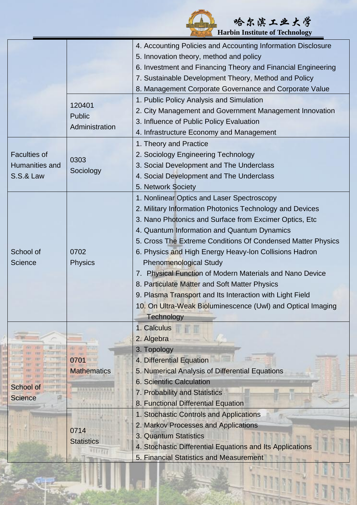|                     |                    | 哈尔滨工业大学                                                      |
|---------------------|--------------------|--------------------------------------------------------------|
|                     |                    | <b>Harbin Institute of Technology</b>                        |
|                     |                    | 4. Accounting Policies and Accounting Information Disclosure |
|                     |                    | 5. Innovation theory, method and policy                      |
|                     |                    | 6. Investment and Financing Theory and Financial Engineering |
|                     |                    | 7. Sustainable Development Theory, Method and Policy         |
|                     |                    | 8. Management Corporate Governance and Corporate Value       |
|                     | 120401             | 1. Public Policy Analysis and Simulation                     |
|                     | <b>Public</b>      | 2. City Management and Government Management Innovation      |
|                     | Administration     | 3. Influence of Public Policy Evaluation                     |
|                     |                    | 4. Infrastructure Economy and Management                     |
|                     |                    | 1. Theory and Practice                                       |
| <b>Faculties of</b> | 0303               | 2. Sociology Engineering Technology                          |
| Humanities and      |                    | 3. Social Development and The Underclass                     |
| S.S.& Law           | Sociology          | 4. Social Development and The Underclass                     |
|                     |                    | 5. Network Society                                           |
|                     |                    | 1. Nonlinear Optics and Laser Spectroscopy                   |
|                     |                    | 2. Military Information Photonics Technology and Devices     |
|                     |                    | 3. Nano Photonics and Surface from Excimer Optics, Etc.      |
|                     |                    | 4. Quantum Information and Quantum Dynamics                  |
|                     |                    | 5. Cross The Extreme Conditions Of Condensed Matter Physics  |
| School of           | 0702               | 6. Physics and High Energy Heavy-Ion Collisions Hadron       |
| <b>Science</b>      | <b>Physics</b>     | <b>Phenomenological Study</b>                                |
|                     |                    | 7. Physical Function of Modern Materials and Nano Device     |
|                     |                    | 8. Particulate Matter and Soft Matter Physics                |
|                     |                    | 9. Plasma Transport and Its Interaction with Light Field     |
|                     |                    | 10. On Ultra-Weak Bioluminescence (Uwl) and Optical Imaging  |
|                     |                    | <b>Technology</b>                                            |
|                     |                    | 1. Calculus                                                  |
|                     |                    | 2. Algebra                                                   |
|                     |                    | 3. Topology                                                  |
|                     |                    | 4. Differential Equation                                     |
|                     | <b>Mathematics</b> | 5. Numerical Analysis of Differential Equations              |
|                     |                    | <b>6. Scientific Calculation</b>                             |
| School of           |                    | 7. Probability and Statistics                                |
| <b>Science</b>      |                    | 8. Functional Differential Equation                          |
|                     |                    | 1. Stochastic Controls and Applications                      |
|                     |                    | 2. Markov Processes and Applications                         |
|                     | 0714               | 3. Quantum Statistics                                        |
|                     | <b>Statistics</b>  | 4. Stochastic Differential Equations and Its Applications    |
|                     |                    | 5. Financial Statistics and Measurement                      |

Y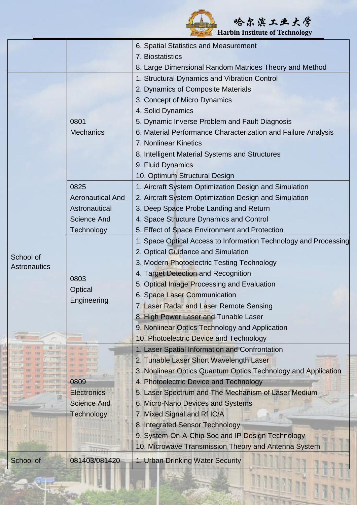|                           |                         | 哈尔滨工业大学<br><b>Harbin Institute of Technology</b>                 |
|---------------------------|-------------------------|------------------------------------------------------------------|
|                           |                         | 6. Spatial Statistics and Measurement                            |
|                           |                         | 7. Biostatistics                                                 |
|                           |                         | 8. Large Dimensional Random Matrices Theory and Method           |
|                           |                         | 1. Structural Dynamics and Vibration Control                     |
|                           |                         | 2. Dynamics of Composite Materials                               |
|                           |                         | 3. Concept of Micro Dynamics                                     |
|                           |                         | 4. Solid Dynamics                                                |
|                           | 0801                    | 5. Dynamic Inverse Problem and Fault Diagnosis                   |
|                           | <b>Mechanics</b>        | 6. Material Performance Characterization and Failure Analysis    |
|                           |                         | 7. Nonlinear Kinetics                                            |
|                           |                         | 8. Intelligent Material Systems and Structures                   |
|                           |                         | 9. Fluid Dynamics                                                |
|                           |                         | 10. Optimum Structural Design                                    |
|                           | 0825                    | 1. Aircraft System Optimization Design and Simulation            |
|                           | <b>Aeronautical And</b> | 2. Aircraft System Optimization Design and Simulation            |
|                           | Astronautical           | 3. Deep Space Probe Landing and Return                           |
|                           | <b>Science And</b>      | 4. Space Structure Dynamics and Control                          |
|                           | Technology              | 5. Effect of Space Environment and Protection                    |
|                           |                         | 1. Space Optical Access to Information Technology and Processing |
|                           |                         | 2. Optical Guidance and Simulation                               |
| School of<br>Astronautics |                         | 3. Modern Photoelectric Testing Technology                       |
|                           | 0803                    | 4. Target Detection and Recognition                              |
|                           |                         | 5. Optical Image Processing and Evaluation                       |
|                           | Optical                 | 6. Space Laser Communication                                     |
|                           | Engineering             | 7. Laser Radar and Laser Remote Sensing                          |
|                           |                         | 8. High Power Laser and Tunable Laser                            |
|                           |                         | 9. Nonlinear Optics Technology and Application                   |
|                           |                         | 10. Photoelectric Device and Technology                          |
|                           |                         | 1. Laser Spatial Information and Confrontation                   |
|                           |                         | 2. Tunable Laser Short Wavelength Laser                          |
|                           |                         | 3. Nonlinear Optics Quantum Optics Technology and Application    |
|                           | 0809                    | 4. Photoelectric Device and Technology                           |
|                           | <b>Electronics</b>      | 5. Laser Spectrum and The Mechanism of Laser Medium              |
|                           | <b>Science And</b>      | 6. Micro-Nano Devices and Systems                                |
|                           | <b>Technology</b>       | 7. Mixed Signal and Rf IC/A                                      |
|                           |                         | 8. Integrated Sensor Technology                                  |
|                           |                         | 9. System-On-A-Chip Soc and IP Design Technology                 |
|                           |                         | 10. Microwave Transmission Theory and Antenna System             |

这位

School of 081403/081420 1. Urban Drinking Water Security

N 70F  $\sqrt{N}$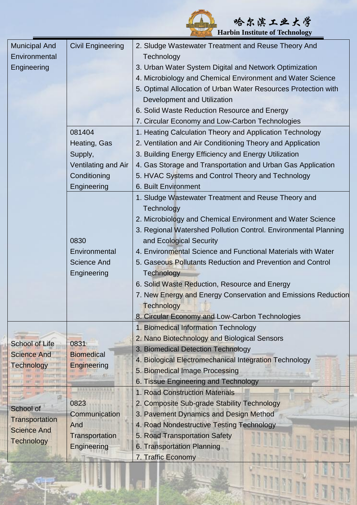|                       |                          | <b>Harbin Institute of Technology</b>                           |
|-----------------------|--------------------------|-----------------------------------------------------------------|
| <b>Municipal And</b>  | <b>Civil Engineering</b> | 2. Sludge Wastewater Treatment and Reuse Theory And             |
| Environmental         |                          | Technology                                                      |
| Engineering           |                          | 3. Urban Water System Digital and Network Optimization          |
|                       |                          | 4. Microbiology and Chemical Environment and Water Science      |
|                       |                          | 5. Optimal Allocation of Urban Water Resources Protection with  |
|                       |                          | Development and Utilization                                     |
|                       |                          | 6. Solid Waste Reduction Resource and Energy                    |
|                       |                          | 7. Circular Economy and Low-Carbon Technologies                 |
|                       | 081404                   | 1. Heating Calculation Theory and Application Technology        |
|                       | Heating, Gas             | 2. Ventilation and Air Conditioning Theory and Application      |
|                       | Supply,                  | 3. Building Energy Efficiency and Energy Utilization            |
|                       | Ventilating and Air      | 4. Gas Storage and Transportation and Urban Gas Application     |
|                       | Conditioning             | 5. HVAC Systems and Control Theory and Technology               |
|                       | Engineering              | 6. Built Environment                                            |
|                       |                          | 1. Sludge Wastewater Treatment and Reuse Theory and             |
|                       |                          | Technology                                                      |
|                       |                          | 2. Microbiology and Chemical Environment and Water Science      |
|                       |                          | 3. Regional Watershed Pollution Control. Environmental Planning |
|                       | 0830                     | and Ecological Security                                         |
|                       | Environmental            | 4. Environmental Science and Functional Materials with Water    |
|                       | <b>Science And</b>       | 5. Gaseous Pollutants Reduction and Prevention and Control      |
|                       | Engineering              | <b>Technology</b>                                               |
|                       |                          | 6. Solid Waste Reduction, Resource and Energy                   |
|                       |                          | 7. New Energy and Energy Conservation and Emissions Reduction   |
|                       |                          | <b>Technology</b>                                               |
|                       |                          | 8. Circular Economy and Low-Carbon Technologies                 |
|                       |                          | 1. Biomedical Information Technology                            |
|                       |                          | 2. Nano Biotechnology and Biological Sensors                    |
| <b>School of Life</b> | 0831                     | 3. Biomedical Detection Technology                              |
| <b>Science And</b>    | <b>Biomedical</b>        | 4. Biological Electromechanical Integration Technology          |
| <b>Technology</b>     | Engineering              | 5. Biomedical Image Processing                                  |
|                       |                          | 6. Tissue Engineering and Technology                            |
|                       |                          | 1. Road Construction Materials                                  |
|                       | 0823                     | 2. Composite Sub-grade Stability Technology                     |
| School of             | Communication            | 3. Pavement Dynamics and Design Method                          |
| Transportation        | And                      | 4. Road Nondestructive Testing Technology                       |
| <b>Science And</b>    | Transportation           | 5. Road Transportation Safety                                   |
| <b>Technology</b>     | Engineering              | 6. Transportation Planning                                      |
|                       |                          | 7. Traffic Economy                                              |

哈尔滨工业大学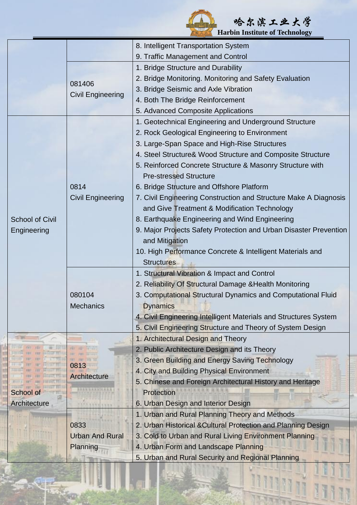| 哈尔滨工业大学                                                          |
|------------------------------------------------------------------|
| <b>THE EXTERNAL MARKET HARDEN</b> Harbin Institute of Technology |

1

|                        |                          | 8. Intelligent Transportation System                              |
|------------------------|--------------------------|-------------------------------------------------------------------|
|                        |                          | 9. Traffic Management and Control                                 |
|                        |                          | 1. Bridge Structure and Durability                                |
|                        |                          | 2. Bridge Monitoring. Monitoring and Safety Evaluation            |
|                        | 081406                   | 3. Bridge Seismic and Axle Vibration                              |
|                        | <b>Civil Engineering</b> | 4. Both The Bridge Reinforcement                                  |
|                        |                          | 5. Advanced Composite Applications                                |
|                        |                          | 1. Geotechnical Engineering and Underground Structure             |
|                        |                          | 2. Rock Geological Engineering to Environment                     |
|                        |                          | 3. Large-Span Space and High-Rise Structures                      |
|                        |                          | 4. Steel Structure& Wood Structure and Composite Structure        |
|                        |                          | 5. Reinforced Concrete Structure & Masonry Structure with         |
|                        |                          | <b>Pre-stressed Structure</b>                                     |
|                        | 0814                     | 6. Bridge Structure and Offshore Platform                         |
|                        | <b>Civil Engineering</b> | 7. Civil Engineering Construction and Structure Make A Diagnosis  |
|                        |                          | and Give Treatment & Modification Technology                      |
| <b>School of Civil</b> |                          | 8. Earthquake Engineering and Wind Engineering                    |
| Engineering            |                          | 9. Major Projects Safety Protection and Urban Disaster Prevention |
|                        |                          | and Mitigation                                                    |
|                        |                          | 10. High Performance Concrete & Intelligent Materials and         |
|                        |                          | <b>Structures</b>                                                 |
|                        |                          | 1. Structural Vibration & Impact and Control                      |
|                        |                          | 2. Reliability Of Structural Damage & Health Monitoring           |
|                        | 080104                   | 3. Computational Structural Dynamics and Computational Fluid      |
|                        | Mechanics                | <b>Dynamics</b>                                                   |
|                        |                          | 4. Civil Engineering Intelligent Materials and Structures System  |
|                        |                          | 5. Civil Engineering Structure and Theory of System Design        |
|                        |                          | 1. Architectural Design and Theory                                |
|                        | 0813                     | 2. Public Architecture Design and its Theory                      |
|                        |                          | 3. Green Building and Energy Saving Technology                    |
|                        | <b>Architecture</b>      | 4. City and Building Physical Environment                         |
|                        |                          | 5. Chinese and Foreign Architectural History and Heritage         |
| School of              |                          | Protection                                                        |
| <b>Architecture</b>    |                          | 6. Urban Design and Interior Design                               |
|                        |                          | 1. Urban and Rural Planning Theory and Methods                    |
|                        | 0833                     | 2. Urban Historical & Cultural Protection and Planning Design     |
|                        | <b>Urban And Rural</b>   | 3. Cold to Urban and Rural Living Environment Planning            |
|                        | Planning                 | 4. Urban Form and Landscape Planning                              |
|                        |                          | 5. Urban and Rural Security and Regional Planning                 |

百里昭明明明朝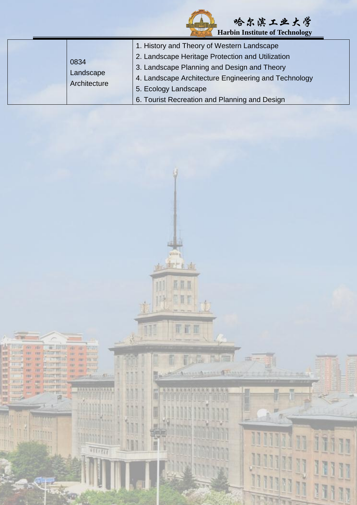| <b>Harbin Institute of Technology</b> |                                                                                                                                                                                                                                                                                |  |
|---------------------------------------|--------------------------------------------------------------------------------------------------------------------------------------------------------------------------------------------------------------------------------------------------------------------------------|--|
| 0834<br>Landscape<br>Architecture     | 1. History and Theory of Western Landscape<br>2. Landscape Heritage Protection and Utilization<br>3. Landscape Planning and Design and Theory<br>4. Landscape Architecture Engineering and Technology<br>5. Ecology Landscape<br>6. Tourist Recreation and Planning and Design |  |

五百日

ETH

心區

尾偏

CCT<sub>3</sub>

川

I

w

Nπ

**The Second Second** 

 $\overline{\mathbb{T}}$ 

目

F

**WE FOR THE 141** 

m **FIELD** 

ш

m 3381

in to

Tellet

**BETTER** 

**Pill** the

militan

**State** 

HUNI

id.

哈尔滨工业大学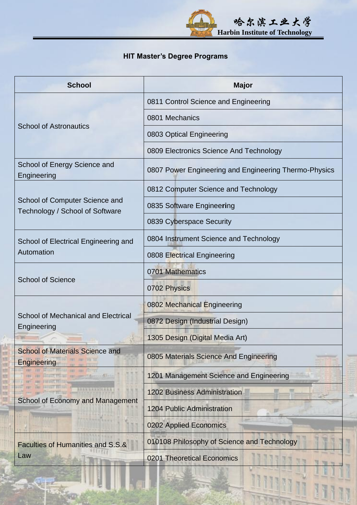

### **HIT Master's Degree Programs**

| <b>School</b>                                                     | <b>Major</b>                                          |
|-------------------------------------------------------------------|-------------------------------------------------------|
|                                                                   | 0811 Control Science and Engineering                  |
|                                                                   | 0801 Mechanics                                        |
| <b>School of Astronautics</b>                                     | 0803 Optical Engineering                              |
|                                                                   | 0809 Electronics Science And Technology               |
| School of Energy Science and<br>Engineering                       | 0807 Power Engineering and Engineering Thermo-Physics |
|                                                                   | 0812 Computer Science and Technology                  |
| School of Computer Science and<br>Technology / School of Software | 0835 Software Engineering                             |
|                                                                   | 0839 Cyberspace Security                              |
| School of Electrical Engineering and                              | 0804 Instrument Science and Technology                |
| Automation                                                        | 0808 Electrical Engineering                           |
|                                                                   | 0701 Mathematics                                      |
| <b>School of Science</b>                                          | 0702 Physics                                          |
|                                                                   | 0802 Mechanical Engineering                           |
| <b>School of Mechanical and Electrical</b><br>Engineering         | 0872 Design (Industrial Design)                       |
|                                                                   | 1305 Design (Digital Media Art)                       |
| <b>School of Materials Science and</b><br>Engineering             | 0805 Materials Science And Engineering                |
|                                                                   | 1201 Management Science and Engineering               |
|                                                                   | <b>1202 Business Administration</b>                   |
| <b>School of Economy and Management</b>                           | <b>1204 Public Administration</b>                     |
|                                                                   | 0202 Applied Economics                                |
| Faculties of Humanities and S.S.&                                 | 010108 Philosophy of Science and Technology           |
| Law                                                               | 0201 Theoretical Economics                            |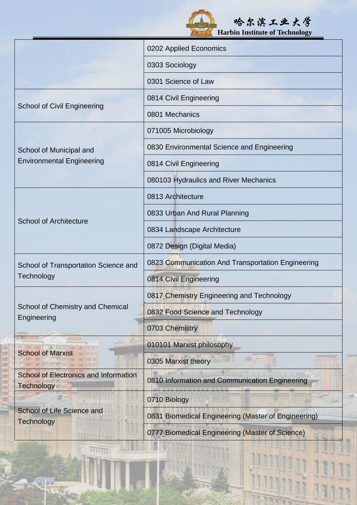|                                                                   | 哈尔滨工业大学<br><b>Harbin Institute of Technology</b>    |
|-------------------------------------------------------------------|-----------------------------------------------------|
|                                                                   | 0202 Applied Economics                              |
|                                                                   | 0303 Sociology                                      |
|                                                                   | 0301 Science of Law                                 |
| <b>School of Civil Engineering</b>                                | 0814 Civil Engineering                              |
|                                                                   | 0801 Mechanics                                      |
|                                                                   | 071005 Microbiology                                 |
| School of Municipal and                                           | 0830 Environmental Science and Engineering          |
| <b>Environmental Engineering</b>                                  | 0814 Civil Engineering                              |
|                                                                   | 080103 Hydraulics and River Mechanics               |
|                                                                   | 0813 Architecture                                   |
|                                                                   | 0833 Urban And Rural Planning                       |
| <b>School of Architecture</b>                                     | 0834 Landscape Architecture                         |
|                                                                   | 0872 Design (Digital Media)                         |
| School of Transportation Science and                              | 0823 Communication And Transportation Engineering   |
| Technology                                                        | 0814 Civil Engineering                              |
|                                                                   | 0817 Chemistry Engineering and Technology           |
| School of Chemistry and Chemical<br>Engineering                   | 0832 Food Science and Technology                    |
|                                                                   | 0703 Chemistry                                      |
|                                                                   | 010101 Marxist philosophy                           |
| <b>School of Marxist</b>                                          | 0305 Marxist theory                                 |
| <b>School of Electronics and Information</b><br><b>Technology</b> | 0810 Information and Communication Engineering      |
|                                                                   | 0710 Biology                                        |
| School of Life Science and<br><b>Technology</b>                   | 0831 Biomedical Engineering (Master of Engineering) |
|                                                                   | 0777 Biomedical Engineering (Master of Science)     |

球群

m w

 $\overline{H(II)}$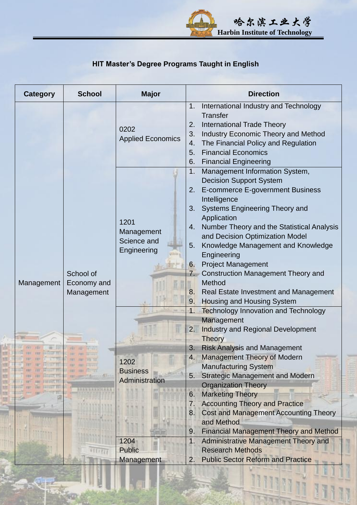

## **HIT Master's Degree Programs Taught in English**

| <b>Category</b> | <b>School</b>                          | <b>Major</b>                                     | <b>Direction</b>                                                                                                                                                                                                                                                                                                                                                                                                                                                                                                                    |
|-----------------|----------------------------------------|--------------------------------------------------|-------------------------------------------------------------------------------------------------------------------------------------------------------------------------------------------------------------------------------------------------------------------------------------------------------------------------------------------------------------------------------------------------------------------------------------------------------------------------------------------------------------------------------------|
|                 |                                        | 0202<br><b>Applied Economics</b>                 | International Industry and Technology<br>1.<br><b>Transfer</b><br><b>International Trade Theory</b><br>2.<br>3.<br><b>Industry Economic Theory and Method</b><br>The Financial Policy and Regulation<br>4.<br><b>Financial Economics</b><br>5.<br><b>Financial Engineering</b><br>6.                                                                                                                                                                                                                                                |
| Management      | School of<br>Economy and<br>Management | 1201<br>Management<br>Science and<br>Engineering | 1.<br>Management Information System,<br><b>Decision Support System</b><br>E-commerce E-government Business<br>2.<br>Intelligence<br>Systems Engineering Theory and<br>3.<br>Application<br>Number Theory and the Statistical Analysis<br>4.<br>and Decision Optimization Model<br>Knowledge Management and Knowledge<br>5.<br>Engineering<br><b>Project Management</b><br>6.<br><b>Construction Management Theory and</b><br>7.<br>Method<br>Real Estate Investment and Management<br>8.<br><b>Housing and Housing System</b><br>9. |
|                 |                                        |                                                  | <b>Technology Innovation and Technology</b><br>1.<br>Management<br>Industry and Regional Development<br>2.<br><b>Theory</b><br>3.<br><b>Risk Analysis and Management</b><br>Management Theory of Modern<br>4.                                                                                                                                                                                                                                                                                                                       |
|                 | <b>RANGERNICE</b>                      | 1202<br><b>Business</b><br>Administration        | <b>Manufacturing System</b><br><b>Strategic Management and Modern</b><br>5.<br><b>Organization Theory</b><br><b>Marketing Theory</b><br>6.<br><b>Accounting Theory and Practice</b><br>7.<br><b>Cost and Management Accounting Theory</b><br>8.                                                                                                                                                                                                                                                                                     |
|                 |                                        | 1204<br><b>Public</b><br>Management              | and Method<br><b>Financial Management Theory and Method</b><br>9.<br>1.<br>Administrative Management Theory and<br><b>Research Methods</b><br><b>Public Sector Reform and Practice</b><br>2.                                                                                                                                                                                                                                                                                                                                        |

ü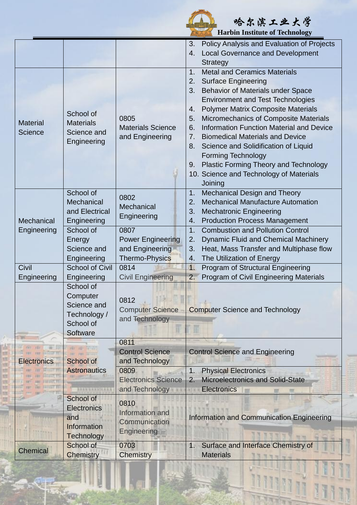

**"我们的人,你们的人,你们的人,你们的人,你们的人,你们的人,你们的人,你们** 

 **Harbin Institute of Technology Harbin Institute of Technology** 

|                    |                                                               |                            | Policy Analysis and Evaluation of Projects<br>3.      |  |  |
|--------------------|---------------------------------------------------------------|----------------------------|-------------------------------------------------------|--|--|
|                    |                                                               |                            | <b>Local Governance and Development</b><br>4.         |  |  |
|                    |                                                               |                            | <b>Strategy</b>                                       |  |  |
|                    | School of<br><b>Materials</b>                                 | 0805                       | <b>Metal and Ceramics Materials</b><br>1.             |  |  |
|                    |                                                               |                            | 2.<br><b>Surface Engineering</b>                      |  |  |
|                    |                                                               |                            | Behavior of Materials under Space<br>3.               |  |  |
|                    |                                                               |                            | <b>Environment and Test Technologies</b>              |  |  |
|                    |                                                               |                            | <b>Polymer Matrix Composite Materials</b><br>4.       |  |  |
| <b>Material</b>    |                                                               |                            | Micromechanics of Composite Materials<br>5.           |  |  |
| <b>Science</b>     | Science and                                                   | <b>Materials Science</b>   | <b>Information Function Material and Device</b><br>6. |  |  |
|                    | Engineering                                                   | and Engineering            | <b>Biomedical Materials and Device</b><br>7.          |  |  |
|                    |                                                               |                            | Science and Solidification of Liquid<br>8.            |  |  |
|                    |                                                               |                            | <b>Forming Technology</b>                             |  |  |
|                    |                                                               |                            | Plastic Forming Theory and Technology<br>9.           |  |  |
|                    |                                                               |                            | 10. Science and Technology of Materials               |  |  |
|                    |                                                               |                            | Joining                                               |  |  |
|                    | School of                                                     | 0802                       | <b>Mechanical Design and Theory</b><br>1.             |  |  |
|                    | Mechanical                                                    | Mechanical                 | <b>Mechanical Manufacture Automation</b><br>2.        |  |  |
|                    | and Electrical                                                | Engineering                | <b>Mechatronic Engineering</b><br>3.                  |  |  |
| Mechanical         | Engineering                                                   |                            | <b>Production Process Management</b><br>4.            |  |  |
| Engineering        | School of                                                     | 0807                       | <b>Combustion and Pollution Control</b><br>1.         |  |  |
|                    | Energy                                                        | <b>Power Engineering</b>   | <b>Dynamic Fluid and Chemical Machinery</b><br>2.     |  |  |
|                    | Science and                                                   | and Engineering            | Heat, Mass Transfer and Multiphase flow<br>3.         |  |  |
|                    | Engineering                                                   | Thermo-Physics             | The Utilization of Energy<br>4.                       |  |  |
| Civil              | School of Civil                                               | 0814                       | Program of Structural Engineering<br>$\overline{1}$ . |  |  |
| Engineering        | Engineering                                                   | <b>Civil Engineering</b>   | <b>Program of Civil Engineering Materials</b><br>2.   |  |  |
|                    | School of                                                     |                            |                                                       |  |  |
|                    | Computer                                                      | 0812                       | <b>Computer Science and Technology</b>                |  |  |
|                    | Science and                                                   | <b>Computer Science</b>    |                                                       |  |  |
|                    | Technology /                                                  | and Technology             |                                                       |  |  |
|                    | School of                                                     |                            |                                                       |  |  |
|                    | Software                                                      |                            |                                                       |  |  |
|                    | <b>Light and C</b><br><b>School of</b><br><b>Astronautics</b> | 0811                       |                                                       |  |  |
|                    |                                                               | <b>Control Science</b>     | <b>Control Science and Engineering</b>                |  |  |
| <b>Electronics</b> |                                                               | and Technology             |                                                       |  |  |
|                    |                                                               | 0809                       | <b>Physical Electronics</b><br>1.                     |  |  |
|                    |                                                               | <b>Electronics Science</b> | <b>Microelectronics and Solid-State</b><br>2.         |  |  |
|                    | <b><i>RAKAGAANJEERA</i></b>                                   | and Technology             | <b>Electronics</b>                                    |  |  |
|                    | School of                                                     | 0810<br>Information and    |                                                       |  |  |
|                    | <b>Electronics</b>                                            |                            | Information and Communication Engineering             |  |  |
|                    | and                                                           | Communication              |                                                       |  |  |
|                    | <b>Information</b>                                            | <b>Engineering</b>         |                                                       |  |  |
|                    | Technology                                                    |                            |                                                       |  |  |
| <b>Chemical</b>    | School of                                                     | 0703                       | Surface and Interface Chemistry of<br>1.              |  |  |
|                    | <b>Chemistry</b>                                              | Chemistry                  | <b>Materials</b><br>777778                            |  |  |
|                    |                                                               |                            |                                                       |  |  |